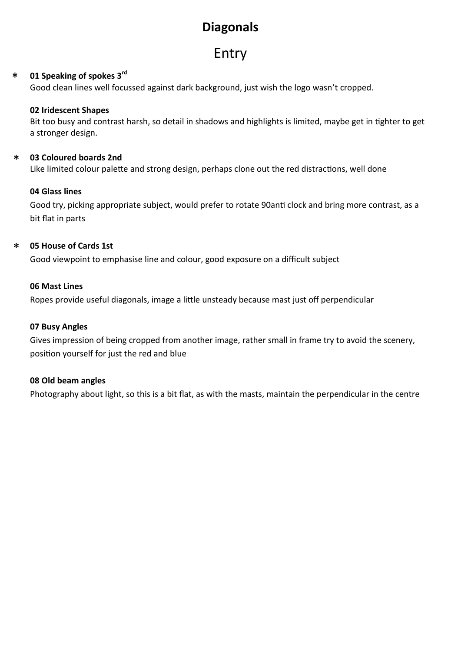# **Diagonals**

# Entry

#### **01 Speaking of spokes 3rd** \*

Good clean lines well focussed against dark background, just wish the logo wasn't cropped.

### **02 Iridescent Shapes**

Bit too busy and contrast harsh, so detail in shadows and highlights is limited, maybe get in tighter to get a stronger design.

#### **03 Coloured boards 2nd** \*

Like limited colour palette and strong design, perhaps clone out the red distractions, well done

### **04 Glass lines**

Good try, picking appropriate subject, would prefer to rotate 90anti clock and bring more contrast, as a bit flat in parts

#### **05 House of Cards 1st** \*

Good viewpoint to emphasise line and colour, good exposure on a difficult subject

### **06 Mast Lines**

Ropes provide useful diagonals, image a little unsteady because mast just off perpendicular

### **07 Busy Angles**

Gives impression of being cropped from another image, rather small in frame try to avoid the scenery, position yourself for just the red and blue

### **08 Old beam angles**

Photography about light, so this is a bit flat, as with the masts, maintain the perpendicular in the centre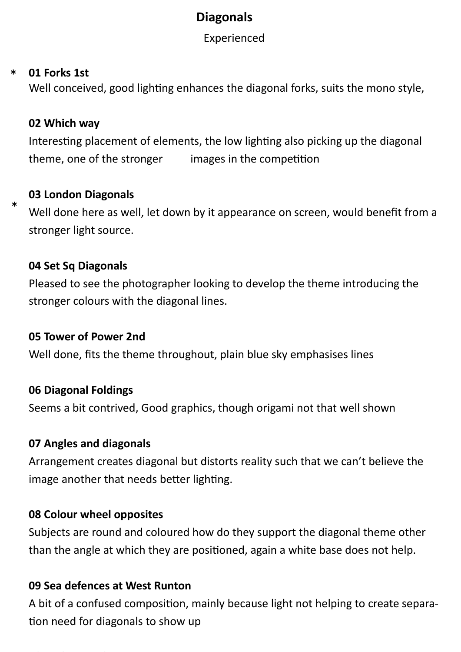# **Diagonals**

Experienced

#### **[01 Forks 1st](https://mocoles.jalbum.net/Feb%202022%20Experienced%20Diagonal%20Opposites/slides/01%20FORKS.html)** \*

\*

Well conceived, good lighting enhances the diagonal forks, suits the mono style,

## **02 Which way**

Interesting placement of elements, the low lighting also picking up the diagonal theme, one of the stronger images in the competition

## **03 London Diagonals**

Well done here as well, let down by it appearance on screen, would benefit from a stronger light source.

## **04 Set Sq Diagonals**

Pleased to see the photographer looking to develop the theme introducing the stronger colours with the diagonal lines.

### **05 Tower of Power 2nd**

Well done, fits the theme throughout, plain blue sky emphasises lines

## **06 Diagonal Foldings**

Seems a bit contrived, Good graphics, though origami not that well shown

### **07 Angles and diagonals**

Arrangement creates diagonal but distorts reality such that we can't believe the image another that needs better lighting.

## **08 Colour wheel opposites**

Subjects are round and coloured how do they support the diagonal theme other than the angle at which they are positioned, again a white base does not help.

### **09 Sea defences at West Runton**

A bit of a confused composition, mainly because light not helping to create separation need for diagonals to show up